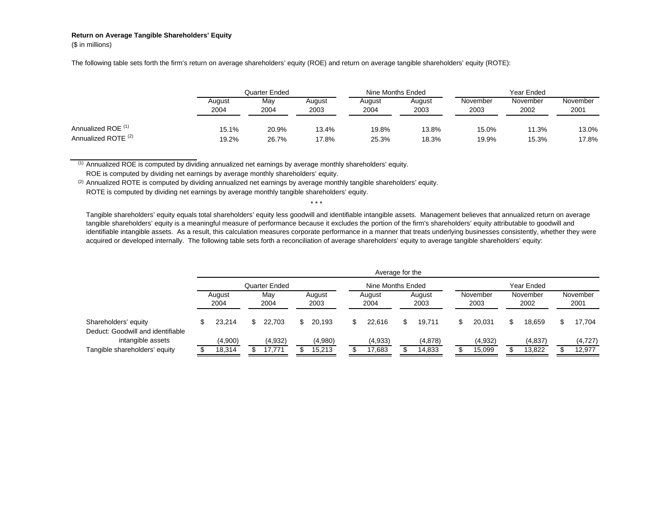## **Return on Average Tangible Shareholders' Equity**

(\$ in millions)

The following table sets forth the firm's return on average shareholders' equity (ROE) and return on average tangible shareholders' equity (ROTE):

|                                |                | Quarter Ended |                |                | Nine Months Ended | Year Ended       |                  |                  |  |
|--------------------------------|----------------|---------------|----------------|----------------|-------------------|------------------|------------------|------------------|--|
|                                | August<br>2004 | May<br>2004   | August<br>2003 | August<br>2004 | August<br>2003    | November<br>2003 | November<br>2002 | November<br>2001 |  |
| Annualized ROE <sup>(1)</sup>  | 15.1%          | 20.9%         | 13.4%          | 19.8%          | 13.8%             | 15.0%            | 11.3%            | 13.0%            |  |
| Annualized ROTE <sup>(2)</sup> | 19.2%          | 26.7%         | 17.8%          | 25.3%          | 18.3%             | 19.9%            | 15.3%            | 17.8%            |  |

(1) Annualized ROE is computed by dividing annualized net earnings by average monthly shareholders' equity.

ROE is computed by dividing net earnings by average monthly shareholders' equity.

 $(2)$  Annualized ROTE is computed by dividing annualized net earnings by average monthly tangible shareholders' equity.

ROTE is computed by dividing net earnings by average monthly tangible shareholders' equity.

Tangible shareholders' equity equals total shareholders' equity less goodwill and identifiable intangible assets. Management believes that annualized return on average tangible shareholders' equity is a meaningful measure of performance because it excludes the portion of the firm's shareholders' equity attributable to goodwill and identifiable intangible assets. As a result, this calculation measures corporate performance in a manner that treats underlying businesses consistently, whether they were acquired or developed internally. The following table sets forth a reconciliation of average shareholders' equity to average tangible shareholders' equity:

\* \* \*

|                                                           | Average for the |                   |     |                   |  |                   |  |                   |  |                   |  |                   |  |                   |  |                    |
|-----------------------------------------------------------|-----------------|-------------------|-----|-------------------|--|-------------------|--|-------------------|--|-------------------|--|-------------------|--|-------------------|--|--------------------|
|                                                           | Quarter Ended   |                   |     |                   |  | Nine Months Ended |  |                   |  | Year Ended        |  |                   |  |                   |  |                    |
|                                                           |                 | August<br>2004    |     | May<br>2004       |  | August<br>2003    |  | August<br>2004    |  | August<br>2003    |  | November<br>2003  |  | November<br>2002  |  | November<br>2001   |
| Shareholders' equity<br>Deduct: Goodwill and identifiable |                 | 23.214            | \$. | 22.703            |  | 20.193            |  | 22.616            |  | 19.711            |  | 20.031            |  | 18.659            |  | 17.704             |
| intangible assets<br>Tangible shareholders' equity        |                 | (4,900)<br>18,314 |     | (4,932)<br>17.771 |  | (4,980)<br>15,213 |  | (4,933)<br>17,683 |  | (4,878)<br>14,833 |  | (4,932)<br>15,099 |  | (4,837)<br>13,822 |  | (4, 727)<br>12,977 |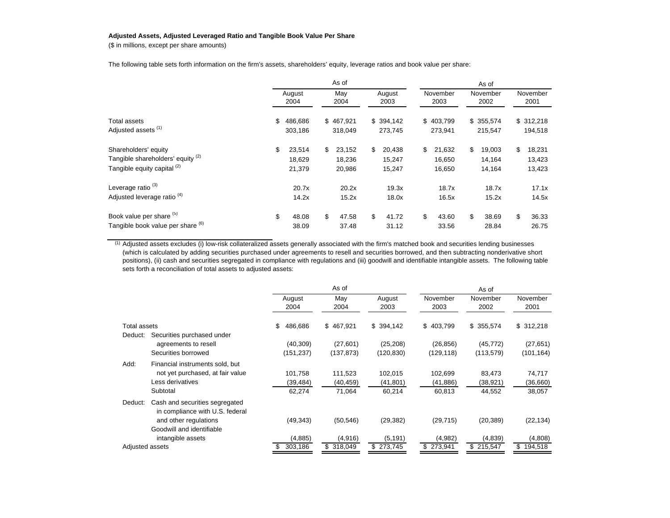## **Adjusted Assets, Adjusted Leveraged Ratio and Tangible Book Value Per Share**

(\$ in millions, except per share amounts)

The following table sets forth information on the firm's assets, shareholders' equity, leverage ratios and book value per share:

|                                                                                          | As of          |                            |    |                            |    |                            | As of |                            |    |                            |    |                            |  |  |
|------------------------------------------------------------------------------------------|----------------|----------------------------|----|----------------------------|----|----------------------------|-------|----------------------------|----|----------------------------|----|----------------------------|--|--|
|                                                                                          | August<br>2004 |                            |    | May<br>2004                |    | August<br>2003             |       | November<br>2003           |    | November<br>2002           |    | November<br>2001           |  |  |
| Total assets<br>Adjusted assets <sup>(1)</sup>                                           | \$             | 486,686<br>303,186         |    | \$467,921<br>318,049       |    | \$394,142<br>273,745       |       | \$403,799<br>273,941       |    | \$355,574<br>215,547       |    | \$312,218<br>194,518       |  |  |
| Shareholders' equity<br>Tangible shareholders' equity (2)<br>Tangible equity capital (2) | \$             | 23,514<br>18,629<br>21,379 | \$ | 23,152<br>18,236<br>20,986 | \$ | 20,438<br>15,247<br>15,247 | \$    | 21,632<br>16,650<br>16,650 | \$ | 19,003<br>14,164<br>14,164 | \$ | 18,231<br>13,423<br>13,423 |  |  |
| Leverage ratio <sup>(3)</sup><br>Adjusted leverage ratio <sup>(4)</sup>                  |                | 20.7x<br>14.2x             |    | 20.2x<br>15.2x             |    | 19.3x<br>18.0x             |       | 18.7x<br>16.5x             |    | 18.7x<br>15.2x             |    | 17.1x<br>14.5x             |  |  |
| Book value per share (5)<br>Tangible book value per share (6)                            | \$             | 48.08<br>38.09             | \$ | 47.58<br>37.48             | \$ | 41.72<br>31.12             | \$    | 43.60<br>33.56             | \$ | 38.69<br>28.84             | \$ | 36.33<br>26.75             |  |  |

(1) Adjusted assets excludes (i) low-risk collateralized assets generally associated with the firm's matched book and securities lending businesses (which is calculated by adding securities purchased under agreements to resell and securities borrowed, and then subtracting nonderivative short positions), (ii) cash and securities segregated in compliance with regulations and (iii) goodwill and identifiable intangible assets. The following table sets forth a reconciliation of total assets to adjusted assets:

|                     |                                                                   |                | As of         |                | As of            |                  |                  |  |  |  |  |
|---------------------|-------------------------------------------------------------------|----------------|---------------|----------------|------------------|------------------|------------------|--|--|--|--|
|                     |                                                                   | August<br>2004 | May<br>2004   | August<br>2003 | November<br>2003 | November<br>2002 | November<br>2001 |  |  |  |  |
| <b>Total assets</b> |                                                                   | \$<br>486,686  | \$467,921     | \$394,142      | \$403,799        | \$355,574        | \$312,218        |  |  |  |  |
| Deduct:             | Securities purchased under                                        |                |               |                |                  |                  |                  |  |  |  |  |
|                     | agreements to resell                                              | (40, 309)      | (27,601)      | (25, 208)      | (26, 856)        | (45, 772)        | (27, 651)        |  |  |  |  |
|                     | Securities borrowed                                               | (151, 237)     | (137, 873)    | (120, 830)     | (129, 118)       | (113, 579)       | (101, 164)       |  |  |  |  |
| Add:                | Financial instruments sold, but                                   |                |               |                |                  |                  |                  |  |  |  |  |
|                     | not yet purchased, at fair value                                  | 101,758        | 111,523       | 102,015        | 102,699          | 83,473           | 74,717           |  |  |  |  |
|                     | Less derivatives                                                  | (39,484)       | (40, 459)     | (41, 801)      | (41, 886)        | (38,921)         | (36,660)         |  |  |  |  |
|                     | Subtotal                                                          | 62,274         | 71,064        | 60,214         | 60,813           | 44,552           | 38,057           |  |  |  |  |
| Deduct:             | Cash and securities segregated<br>in compliance with U.S. federal |                |               |                |                  |                  |                  |  |  |  |  |
|                     | and other regulations                                             | (49, 343)      | (50, 546)     | (29, 382)      | (29, 715)        | (20, 389)        | (22, 134)        |  |  |  |  |
|                     | Goodwill and identifiable                                         |                |               |                |                  |                  |                  |  |  |  |  |
|                     | intangible assets                                                 | (4,885)        | (4,916)       | (5, 191)       | (4,982)          | (4,839)          | (4,808)          |  |  |  |  |
| Adjusted assets     |                                                                   | 303,186<br>S   | \$<br>318,049 | 273,745<br>\$. | \$273,941        | \$215,547        | \$194,518        |  |  |  |  |